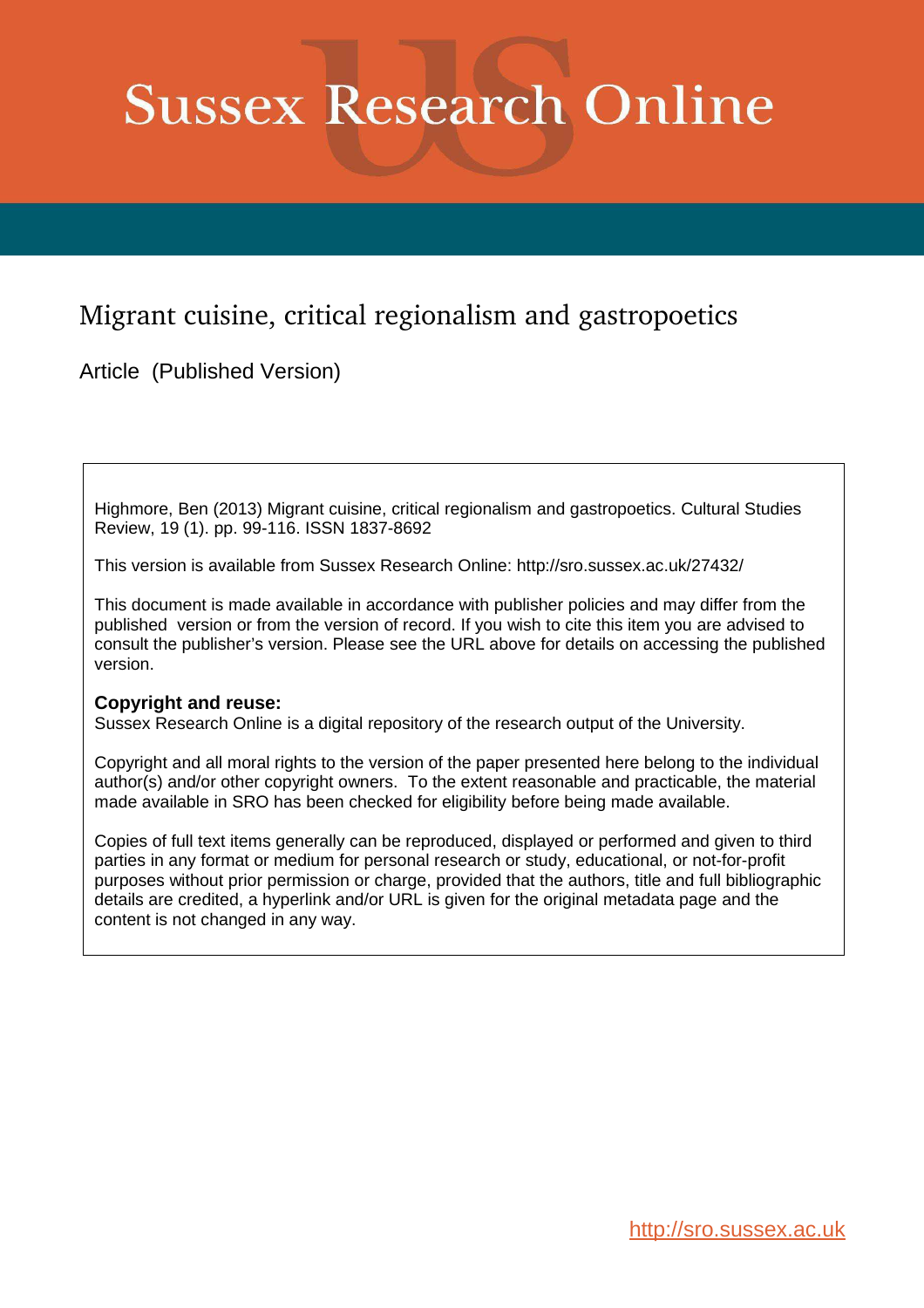# **Sussex Research Online**

# Migrant cuisine, critical regionalism and gastropoetics

Article (Published Version)

Highmore, Ben (2013) Migrant cuisine, critical regionalism and gastropoetics. Cultural Studies Review, 19 (1). pp. 99-116. ISSN 1837-8692

This version is available from Sussex Research Online: http://sro.sussex.ac.uk/27432/

This document is made available in accordance with publisher policies and may differ from the published version or from the version of record. If you wish to cite this item you are advised to consult the publisher's version. Please see the URL above for details on accessing the published version.

### **Copyright and reuse:**

Sussex Research Online is a digital repository of the research output of the University.

Copyright and all moral rights to the version of the paper presented here belong to the individual author(s) and/or other copyright owners. To the extent reasonable and practicable, the material made available in SRO has been checked for eligibility before being made available.

Copies of full text items generally can be reproduced, displayed or performed and given to third parties in any format or medium for personal research or study, educational, or not-for-profit purposes without prior permission or charge, provided that the authors, title and full bibliographic details are credited, a hyperlink and/or URL is given for the original metadata page and the content is not changed in any way.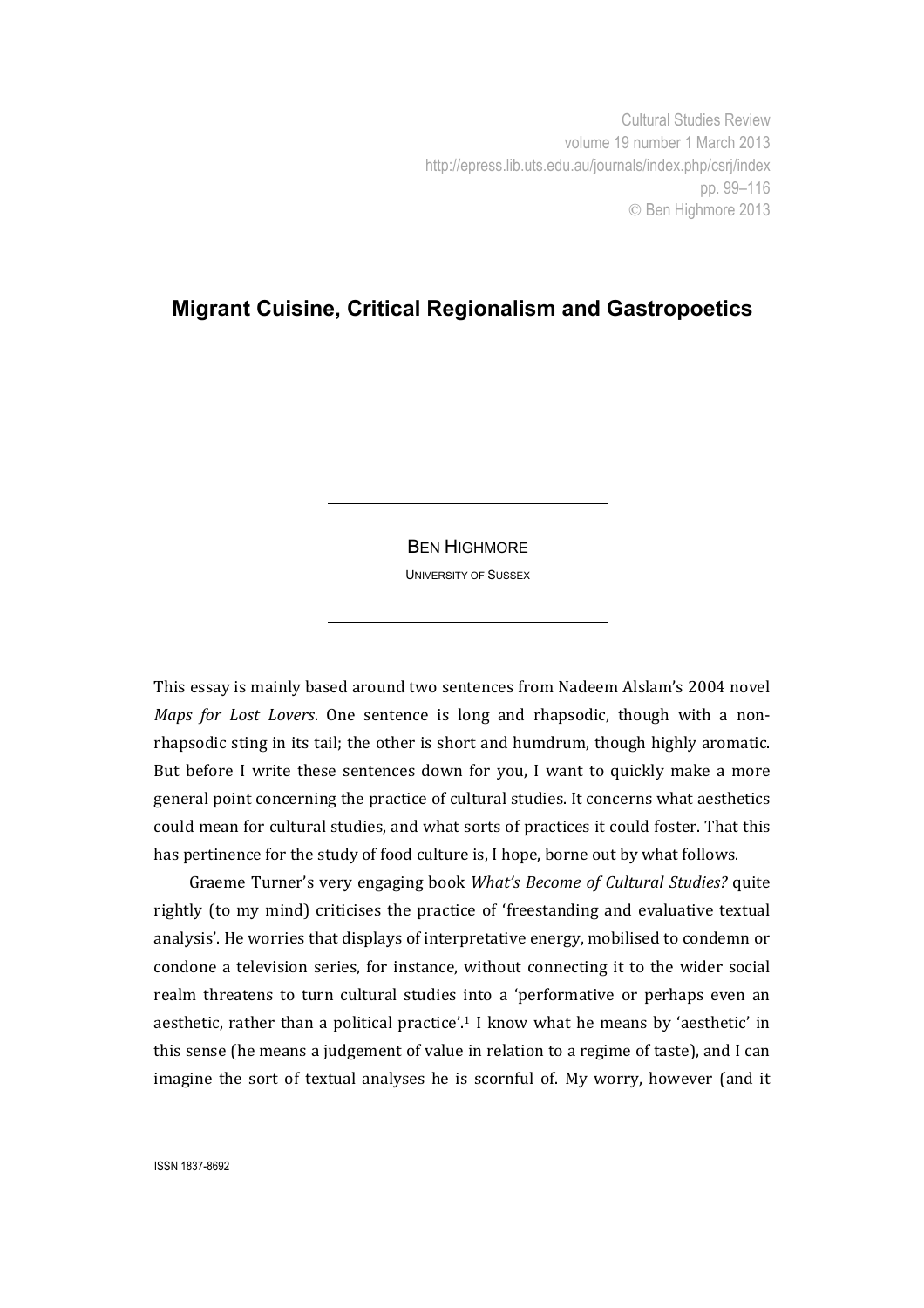Cultural Studies Review volume 19 number 1 March 2013 http://epress.lib.uts.edu.au/journals/index.php/csrj/index pp. 99–116 © Ben Highmore 2013

## **Migrant Cuisine, Critical Regionalism and Gastropoetics**

BEN HIGHMORE

UNIVERSITY OF SUSSEX

This essay is mainly based around two sentences from Nadeem Alslam's 2004 novel *Maps for Lost Lovers*. One sentence is long and rhapsodic, though with a nonrhapsodic sting in its tail; the other is short and humdrum, though highly aromatic. But before I write these sentences down for you, I want to quickly make a more general point concerning the practice of cultural studies. It concerns what aesthetics could mean for cultural studies, and what sorts of practices it could foster. That this has pertinence for the study of food culture is, I hope, borne out by what follows.

Graeme Turner's very engaging book *What's Become of Cultural Studies?* quite rightly (to my mind) criticises the practice of 'freestanding and evaluative textual analysis'. He worries that displays of interpretative energy, mobilised to condemn or condone a television series, for instance, without connecting it to the wider social realm threatens to turn cultural studies into a 'performative or perhaps even an aesthetic, rather than a political practice'.1 I know what he means by 'aesthetic' in this sense (he means a judgement of value in relation to a regime of taste), and I can imagine the sort of textual analyses he is scornful of. My worry, however (and it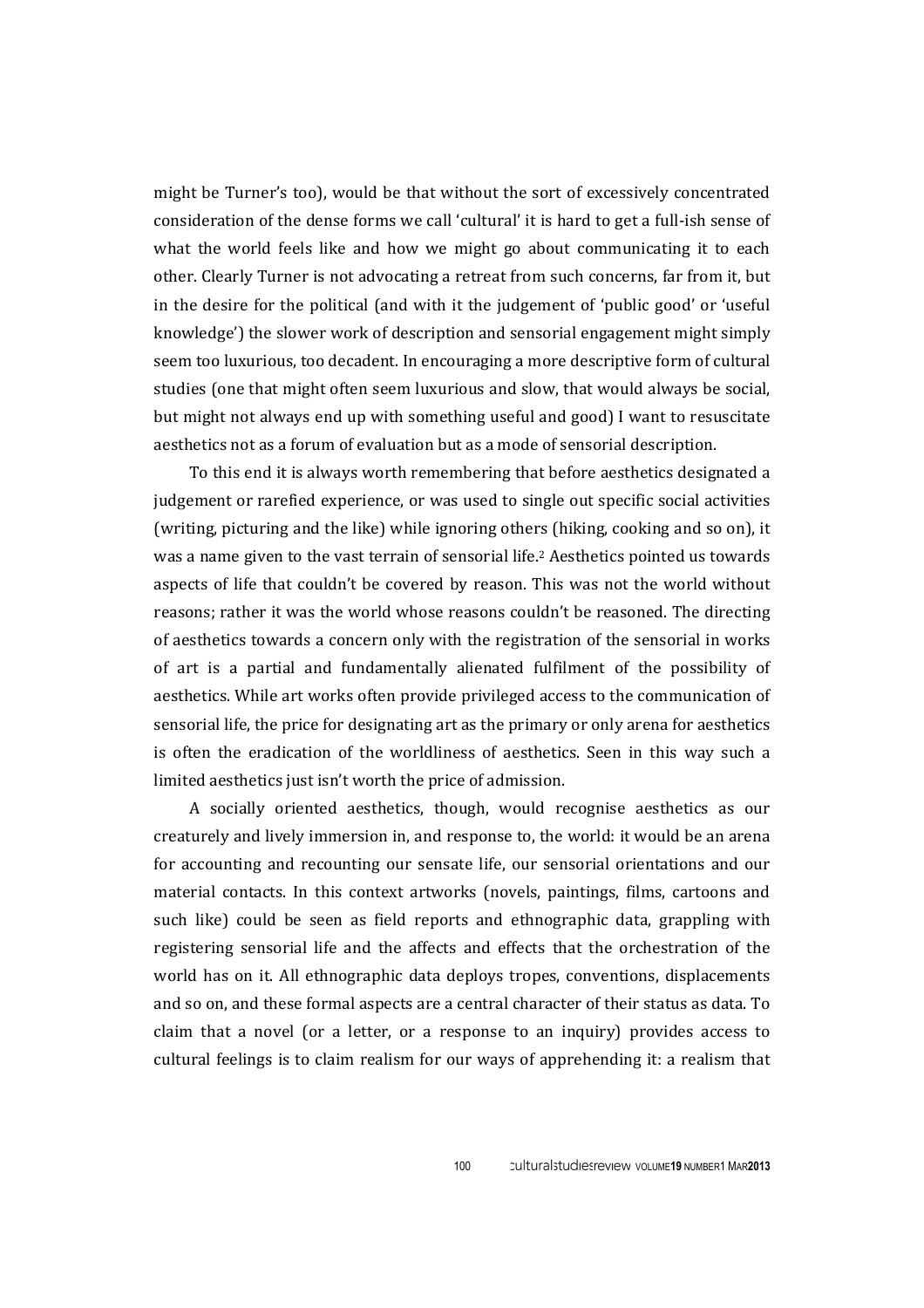might be Turner's too), would be that without the sort of excessively concentrated consideration of the dense forms we call 'cultural' it is hard to get a full-ish sense of what the world feels like and how we might go about communicating it to each other. Clearly Turner is not advocating a retreat from such concerns, far from it, but in the desire for the political (and with it the judgement of 'public good' or 'useful knowledge') the slower work of description and sensorial engagement might simply seem too luxurious, too decadent. In encouraging a more descriptive form of cultural studies (one that might often seem luxurious and slow, that would always be social, but might not always end up with something useful and good) I want to resuscitate aesthetics not as a forum of evaluation but as a mode of sensorial description.

To this end it is always worth remembering that before aesthetics designated a judgement or rarefied experience, or was used to single out specific social activities (writing, picturing and the like) while ignoring others (hiking, cooking and so on), it was a name given to the vast terrain of sensorial life.2 Aesthetics pointed us towards aspects of life that couldn't be covered by reason. This was not the world without reasons; rather it was the world whose reasons couldn't be reasoned. The directing of aesthetics towards a concern only with the registration of the sensorial in works of art is a partial and fundamentally alienated fulfilment of the possibility of aesthetics. While art works often provide privileged access to the communication of sensorial life, the price for designating art as the primary or only arena for aesthetics is often the eradication of the worldliness of aesthetics. Seen in this way such a limited aesthetics just isn't worth the price of admission.

A socially oriented aesthetics, though, would recognise aesthetics as our creaturely and lively immersion in, and response to, the world: it would be an arena for accounting and recounting our sensate life, our sensorial orientations and our material contacts. In this context artworks (novels, paintings, films, cartoons and such like) could be seen as field reports and ethnographic data, grappling with registering sensorial life and the affects and effects that the orchestration of the world has on it. All ethnographic data deploys tropes, conventions, displacements and so on, and these formal aspects are a central character of their status as data. To claim that a novel (or a letter, or a response to an inquiry) provides access to cultural feelings is to claim realism for our ways of apprehending it: a realism that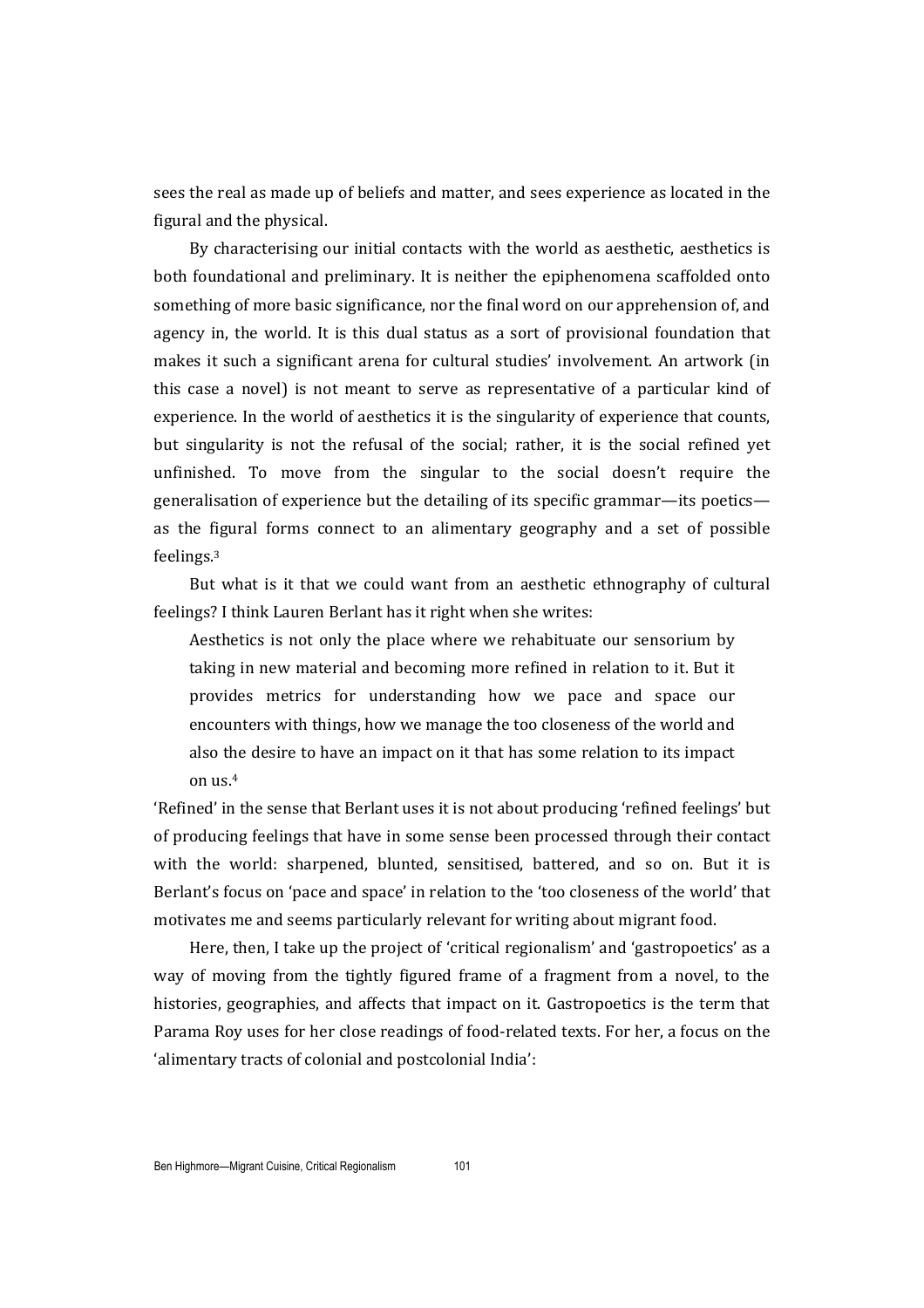sees the real as made up of beliefs and matter, and sees experience as located in the figural and the physical.

By characterising our initial contacts with the world as aesthetic, aesthetics is both foundational and preliminary. It is neither the epiphenomena scaffolded onto something of more basic significance, nor the final word on our apprehension of, and agency in, the world. It is this dual status as a sort of provisional foundation that makes it such a significant arena for cultural studies' involvement. An artwork (in this case a novel) is not meant to serve as representative of a particular kind of experience. In the world of aesthetics it is the singularity of experience that counts, but singularity is not the refusal of the social; rather, it is the social refined yet unfinished. To move from the singular to the social doesn't require the generalisation of experience but the detailing of its specific grammar—its poetics as the figural forms connect to an alimentary geography and a set of possible feelings.<sup>3</sup>

But what is it that we could want from an aesthetic ethnography of cultural feelings? I think Lauren Berlant has it right when she writes:

Aesthetics is not only the place where we rehabituate our sensorium by taking in new material and becoming more refined in relation to it. But it provides metrics for understanding how we pace and space our encounters with things, how we manage the too closeness of the world and also the desire to have an impact on it that has some relation to its impact on us.<sup>4</sup>

'Refined' in the sense that Berlant uses it is not about producing 'refined feelings' but of producing feelings that have in some sense been processed through their contact with the world: sharpened, blunted, sensitised, battered, and so on. But it is Berlant's focus on 'pace and space' in relation to the 'too closeness of the world' that motivates me and seems particularly relevant for writing about migrant food.

Here, then, I take up the project of 'critical regionalism' and 'gastropoetics' as a way of moving from the tightly figured frame of a fragment from a novel, to the histories, geographies, and affects that impact on it. Gastropoetics is the term that Parama Roy uses for her close readings of food‐related texts. For her, a focus on the 'alimentary tracts of colonial and postcolonial India':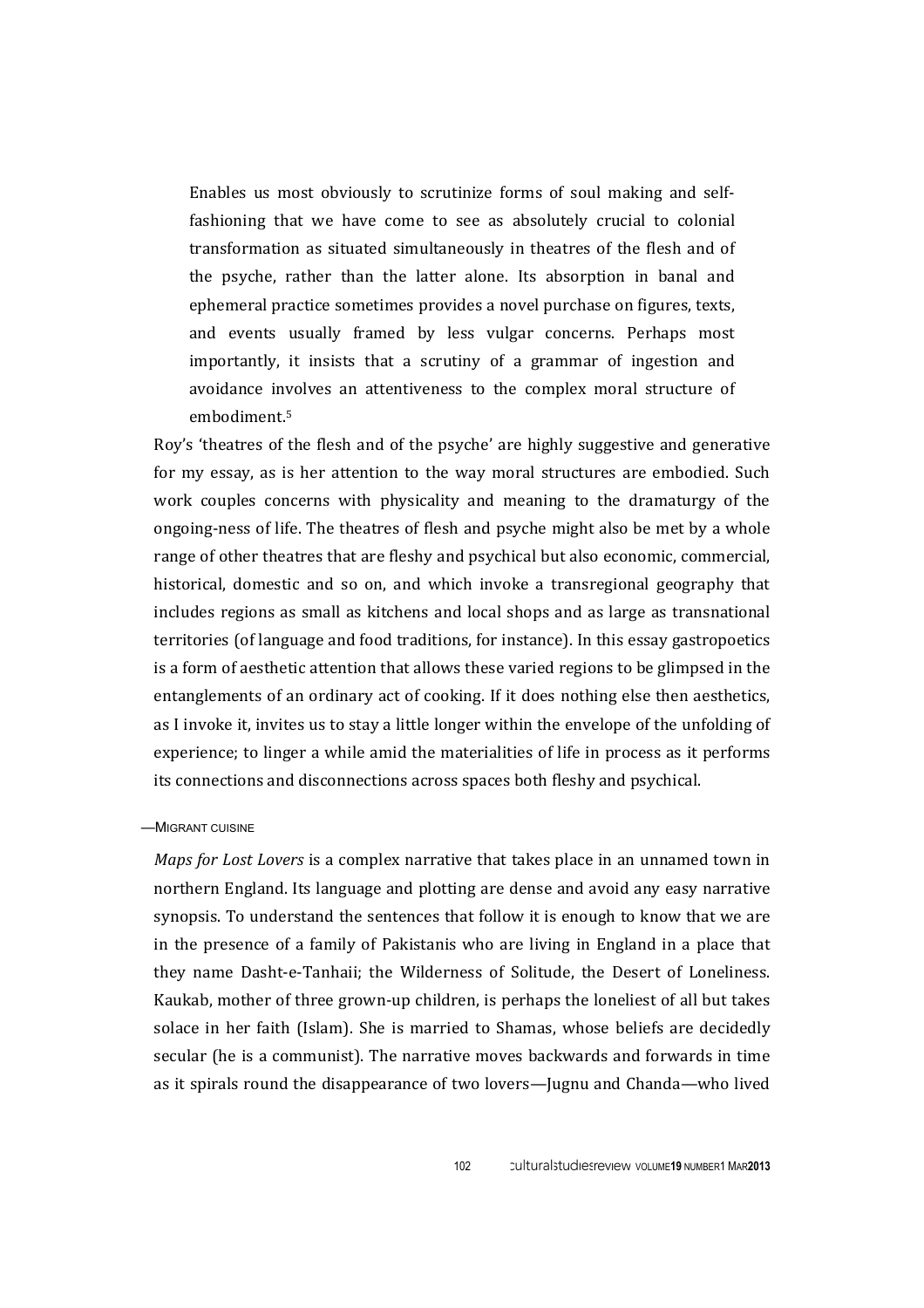Enables us most obviously to scrutinize forms of soul making and self‐ fashioning that we have come to see as absolutely crucial to colonial transformation as situated simultaneously in theatres of the flesh and of the psyche, rather than the latter alone. Its absorption in banal and ephemeral practice sometimes provides a novel purchase on figures, texts, and events usually framed by less vulgar concerns. Perhaps most importantly, it insists that a scrutiny of a grammar of ingestion and avoidance involves an attentiveness to the complex moral structure of embodiment.<sup>5</sup>

Roy's 'theatres of the flesh and of the psyche' are highly suggestive and generative for my essay, as is her attention to the way moral structures are embodied. Such work couples concerns with physicality and meaning to the dramaturgy of the ongoing‐ness of life. The theatres of flesh and psyche might also be met by a whole range of other theatres that are fleshy and psychical but also economic, commercial, historical, domestic and so on, and which invoke a transregional geography that includes regions as small as kitchens and local shops and as large as transnational territories (of language and food traditions, for instance). In this essay gastropoetics is a form of aesthetic attention that allows these varied regions to be glimpsed in the entanglements of an ordinary act of cooking. If it does nothing else then aesthetics, as I invoke it, invites us to stay a little longer within the envelope of the unfolding of experience; to linger a while amid the materialities of life in process as it performs its connections and disconnections across spaces both fleshy and psychical.

#### —MIGRANT CUISINE

*Maps for Lost Lovers* is a complex narrative that takes place in an unnamed town in northern England. Its language and plotting are dense and avoid any easy narrative synopsis. To understand the sentences that follow it is enough to know that we are in the presence of a family of Pakistanis who are living in England in a place that they name Dasht‐e‐Tanhaii; the Wilderness of Solitude, the Desert of Loneliness. Kaukab, mother of three grown‐up children, is perhaps the loneliest of all but takes solace in her faith (Islam). She is married to Shamas, whose beliefs are decidedly secular (he is a communist). The narrative moves backwards and forwards in time as it spirals round the disappearance of two lovers—Jugnu and Chanda—who lived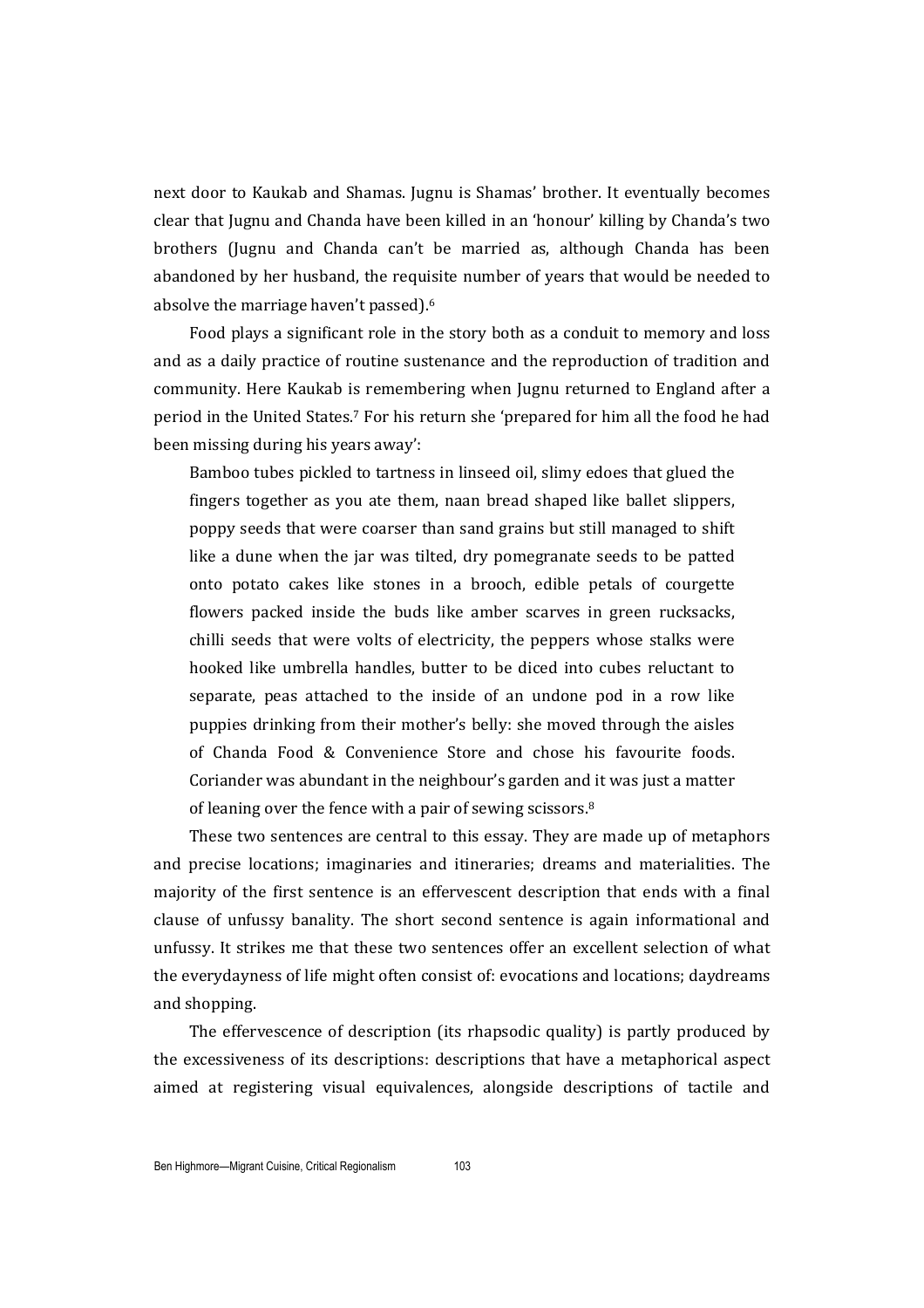next door to Kaukab and Shamas. Jugnu is Shamas' brother. It eventually becomes clear that Jugnu and Chanda have been killed in an 'honour' killing by Chanda's two brothers (Jugnu and Chanda can't be married as, although Chanda has been abandoned by her husband, the requisite number of years that would be needed to absolve the marriage haven't passed).<sup>6</sup>

Food plays a significant role in the story both as a conduit to memory and loss and as a daily practice of routine sustenance and the reproduction of tradition and community. Here Kaukab is remembering when Jugnu returned to England after a period in the United States. <sup>7</sup> For his return she 'prepared for him all the food he had been missing during his years away':

Bamboo tubes pickled to tartness in linseed oil, slimy edoes that glued the fingers together as you ate them, naan bread shaped like ballet slippers, poppy seeds that were coarser than sand grains but still managed to shift like a dune when the jar was tilted, dry pomegranate seeds to be patted onto potato cakes like stones in a brooch, edible petals of courgette flowers packed inside the buds like amber scarves in green rucksacks, chilli seeds that were volts of electricity, the peppers whose stalks were hooked like umbrella handles, butter to be diced into cubes reluctant to separate, peas attached to the inside of an undone pod in a row like puppies drinking from their mother's belly: she moved through the aisles of Chanda Food & Convenience Store and chose his favourite foods. Coriander was abundant in the neighbour's garden and it was just a matter of leaning over the fence with a pair of sewing scissors. 8

These two sentences are central to this essay. They are made up of metaphors and precise locations; imaginaries and itineraries; dreams and materialities. The majority of the first sentence is an effervescent description that ends with a final clause of unfussy banality. The short second sentence is again informational and unfussy. It strikes me that these two sentences offer an excellent selection of what the everydayness of life might often consist of: evocations and locations; daydreams and shopping.

The effervescence of description (its rhapsodic quality) is partly produced by the excessiveness of its descriptions: descriptions that have a metaphorical aspect aimed at registering visual equivalences, alongside descriptions of tactile and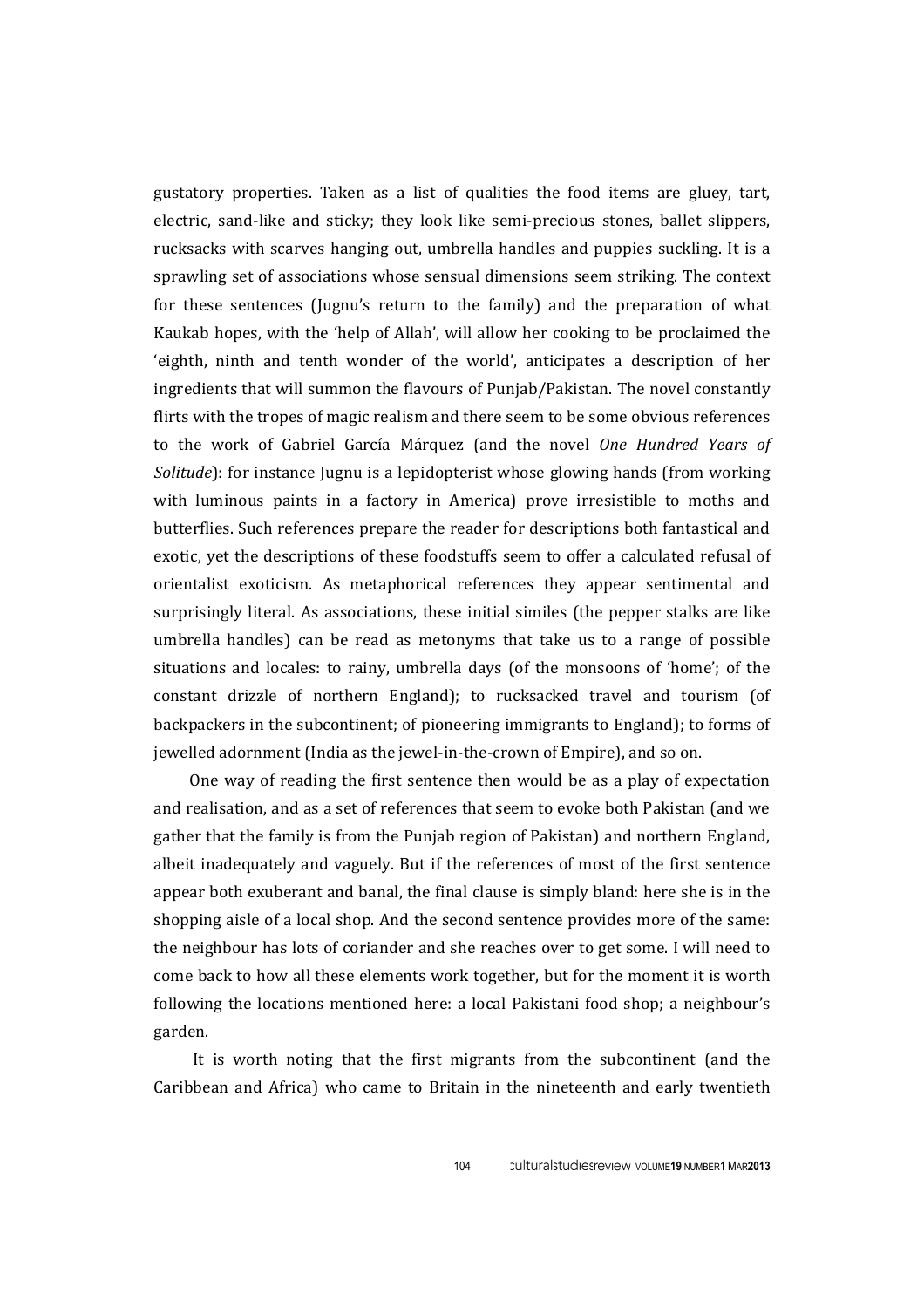gustatory properties. Taken as a list of qualities the food items are gluey, tart, electric, sand-like and sticky; they look like semi-precious stones, ballet slippers, rucksacks with scarves hanging out, umbrella handles and puppies suckling. It is a sprawling set of associations whose sensual dimensions seem striking. The context for these sentences (Jugnu's return to the family) and the preparation of what Kaukab hopes, with the 'help of Allah', will allow her cooking to be proclaimed the 'eighth, ninth and tenth wonder of the world', anticipates a description of her ingredients that will summon the flavours of Punjab/Pakistan. The novel constantly flirts with the tropes of magic realism and there seem to be some obvious references to the work of Gabriel García Márquez (and the novel *One Hundred Years of Solitude*): for instance Jugnu is a lepidopterist whose glowing hands (from working with luminous paints in a factory in America) prove irresistible to moths and butterflies. Such references prepare the reader for descriptions both fantastical and exotic, yet the descriptions of these foodstuffs seem to offer a calculated refusal of orientalist exoticism. As metaphorical references they appear sentimental and surprisingly literal. As associations, these initial similes (the pepper stalks are like umbrella handles) can be read as metonyms that take us to a range of possible situations and locales: to rainy, umbrella days (of the monsoons of 'home'; of the constant drizzle of northern England); to rucksacked travel and tourism (of backpackers in the subcontinent; of pioneering immigrants to England); to forms of jewelled adornment (India as the jewel-in-the-crown of Empire), and so on.

One way of reading the first sentence then would be as a play of expectation and realisation, and as a set of references that seem to evoke both Pakistan (and we gather that the family is from the Punjab region of Pakistan) and northern England, albeit inadequately and vaguely. But if the references of most of the first sentence appear both exuberant and banal, the final clause is simply bland: here she is in the shopping aisle of a local shop. And the second sentence provides more of the same: the neighbour has lots of coriander and she reaches over to get some. I will need to come back to how all these elements work together, but for the moment it is worth following the locations mentioned here: a local Pakistani food shop; a neighbour's garden.

 It is worth noting that the first migrants from the subcontinent (and the Caribbean and Africa) who came to Britain in the nineteenth and early twentieth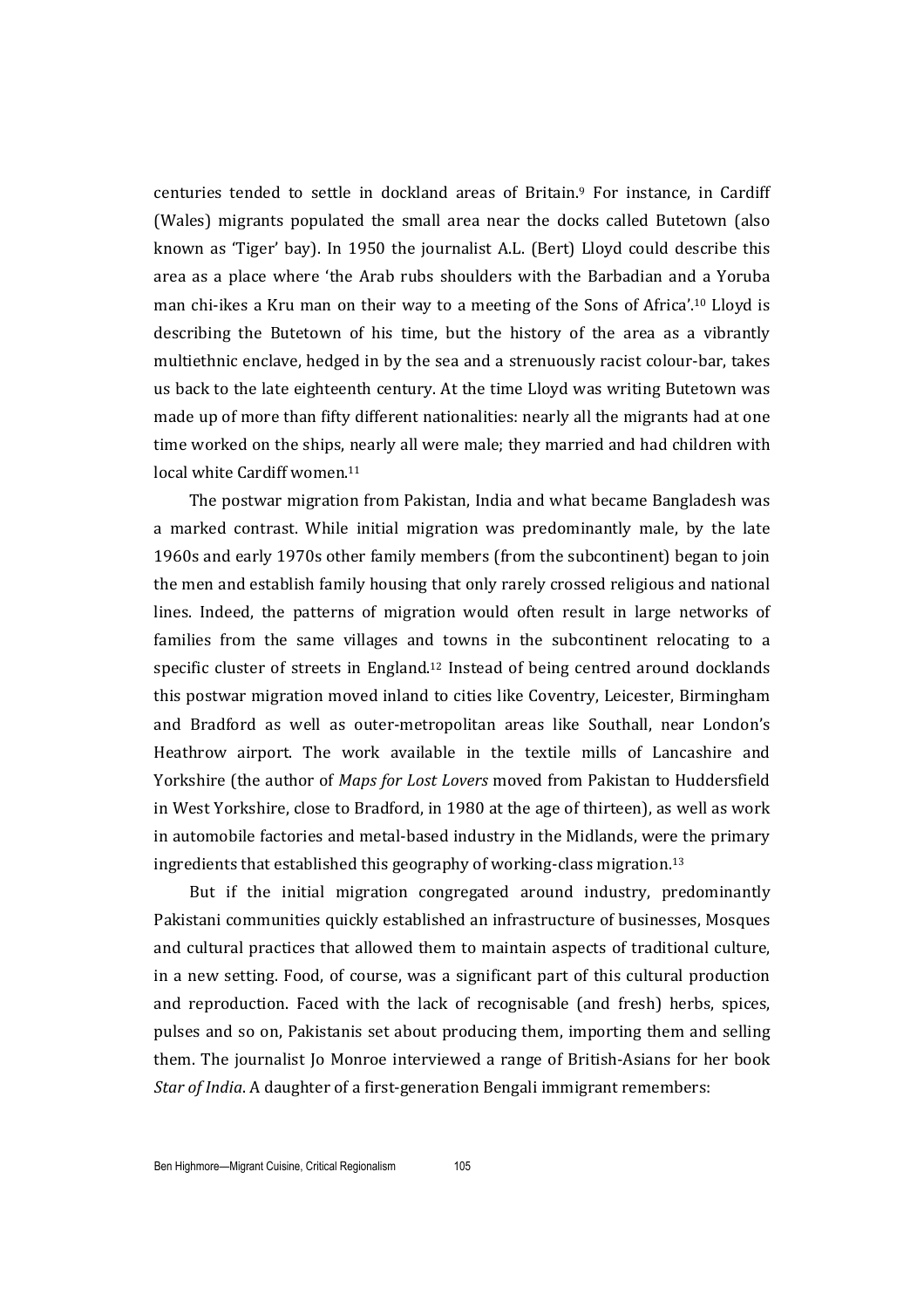centuries tended to settle in dockland areas of Britain. <sup>9</sup> For instance, in Cardiff (Wales) migrants populated the small area near the docks called Butetown (also known as 'Tiger' bay). In 1950 the journalist A.L. (Bert) Lloyd could describe this area as a place where 'the Arab rubs shoulders with the Barbadian and a Yoruba man chi-ikes a Kru man on their way to a meeting of the Sons of Africa'.<sup>10</sup> Lloyd is describing the Butetown of his time, but the history of the area as a vibrantly multiethnic enclave, hedged in by the sea and a strenuously racist colour‐bar, takes us back to the late eighteenth century. At the time Lloyd was writing Butetown was made up of more than fifty different nationalities: nearly all the migrants had at one time worked on the ships, nearly all were male; they married and had children with local white Cardiff women. 11

The postwar migration from Pakistan, India and what became Bangladesh was a marked contrast. While initial migration was predominantly male, by the late 1960s and early 1970s other family members (from the subcontinent) began to join the men and establish family housing that only rarely crossed religious and national lines. Indeed, the patterns of migration would often result in large networks of families from the same villages and towns in the subcontinent relocating to a specific cluster of streets in England. <sup>12</sup> Instead of being centred around docklands this postwar migration moved inland to cities like Coventry, Leicester, Birmingham and Bradford as well as outer‐metropolitan areas like Southall, near London's Heathrow airport. The work available in the textile mills of Lancashire and Yorkshire (the author of *Maps for Lost Lovers* moved from Pakistan to Huddersfield in West Yorkshire, close to Bradford, in 1980 at the age of thirteen), as well as work in automobile factories and metal‐based industry in the Midlands, were the primary ingredients that established this geography of working‐class migration. 13

But if the initial migration congregated around industry, predominantly Pakistani communities quickly established an infrastructure of businesses, Mosques and cultural practices that allowed them to maintain aspects of traditional culture, in a new setting. Food, of course, was a significant part of this cultural production and reproduction. Faced with the lack of recognisable (and fresh) herbs, spices, pulses and so on, Pakistanis set about producing them, importing them and selling them. The journalist Jo Monroe interviewed a range of British‐Asians for her book *Star of India*. A daughter of a first‐generation Bengali immigrant remembers: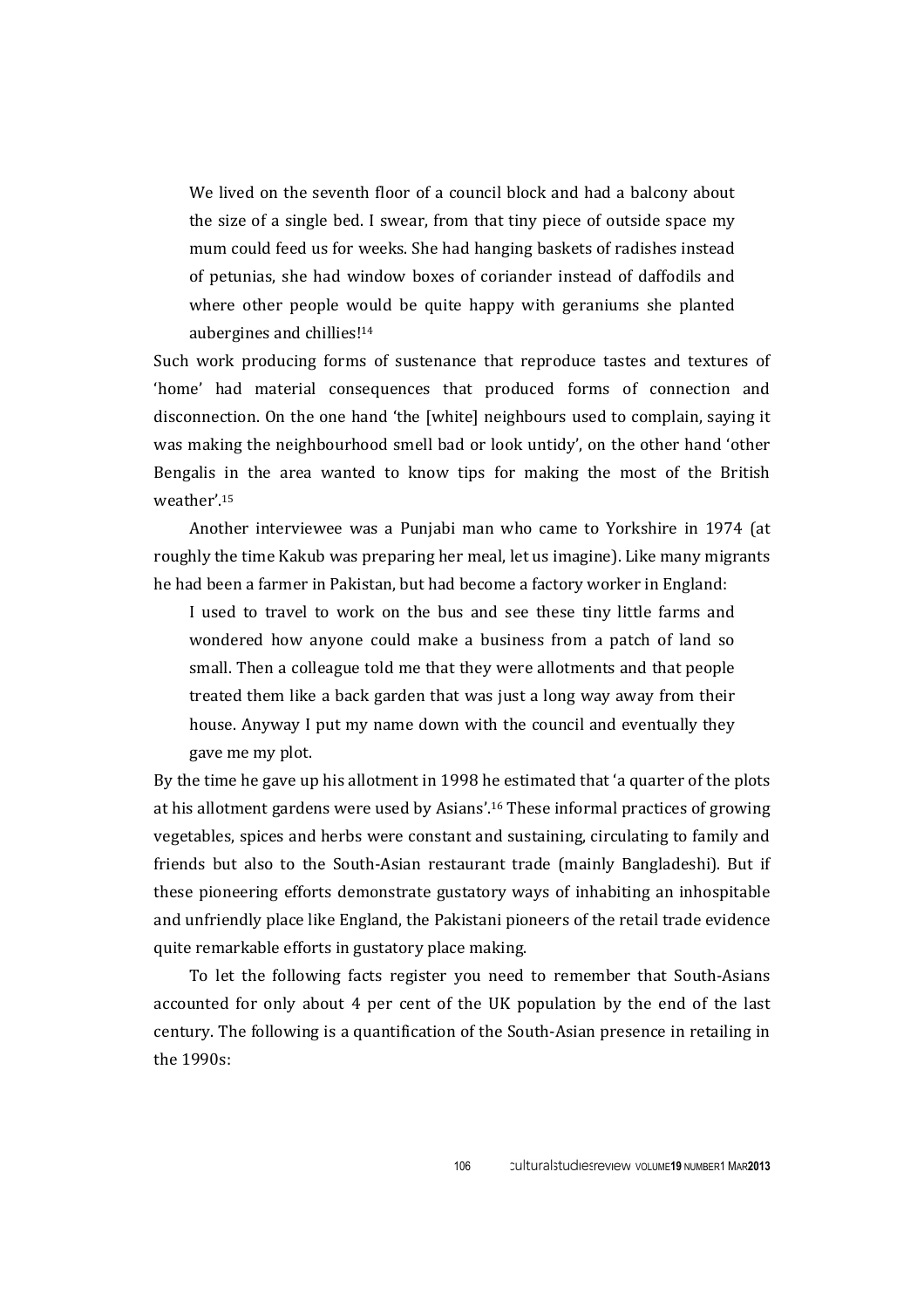We lived on the seventh floor of a council block and had a balcony about the size of a single bed. I swear, from that tiny piece of outside space my mum could feed us for weeks. She had hanging baskets of radishes instead of petunias, she had window boxes of coriander instead of daffodils and where other people would be quite happy with geraniums she planted aubergines and chillies! 14

Such work producing forms of sustenance that reproduce tastes and textures of 'home' had material consequences that produced forms of connection and disconnection. On the one hand 'the [white] neighbours used to complain, saying it was making the neighbourhood smell bad or look untidy', on the other hand 'other Bengalis in the area wanted to know tips for making the most of the British weather'. 15

Another interviewee was a Punjabi man who came to Yorkshire in 1974 (at roughly the time Kakub was preparing her meal, let us imagine). Like many migrants he had been a farmer in Pakistan, but had become a factory worker in England:

I used to travel to work on the bus and see these tiny little farms and wondered how anyone could make a business from a patch of land so small. Then a colleague told me that they were allotments and that people treated them like a back garden that was just a long way away from their house. Anyway I put my name down with the council and eventually they gave me my plot.

By the time he gave up his allotment in 1998 he estimated that 'a quarter of the plots at his allotment gardens were used by Asians'. <sup>16</sup> These informal practices of growing vegetables, spices and herbs were constant and sustaining, circulating to family and friends but also to the South-Asian restaurant trade (mainly Bangladeshi). But if these pioneering efforts demonstrate gustatory ways of inhabiting an inhospitable and unfriendly place like England, the Pakistani pioneers of the retail trade evidence quite remarkable efforts in gustatory place making.

To let the following facts register you need to remember that South‐Asians accounted for only about 4 per cent of the UK population by the end of the last century. The following is a quantification of the South‐Asian presence in retailing in the 1990s: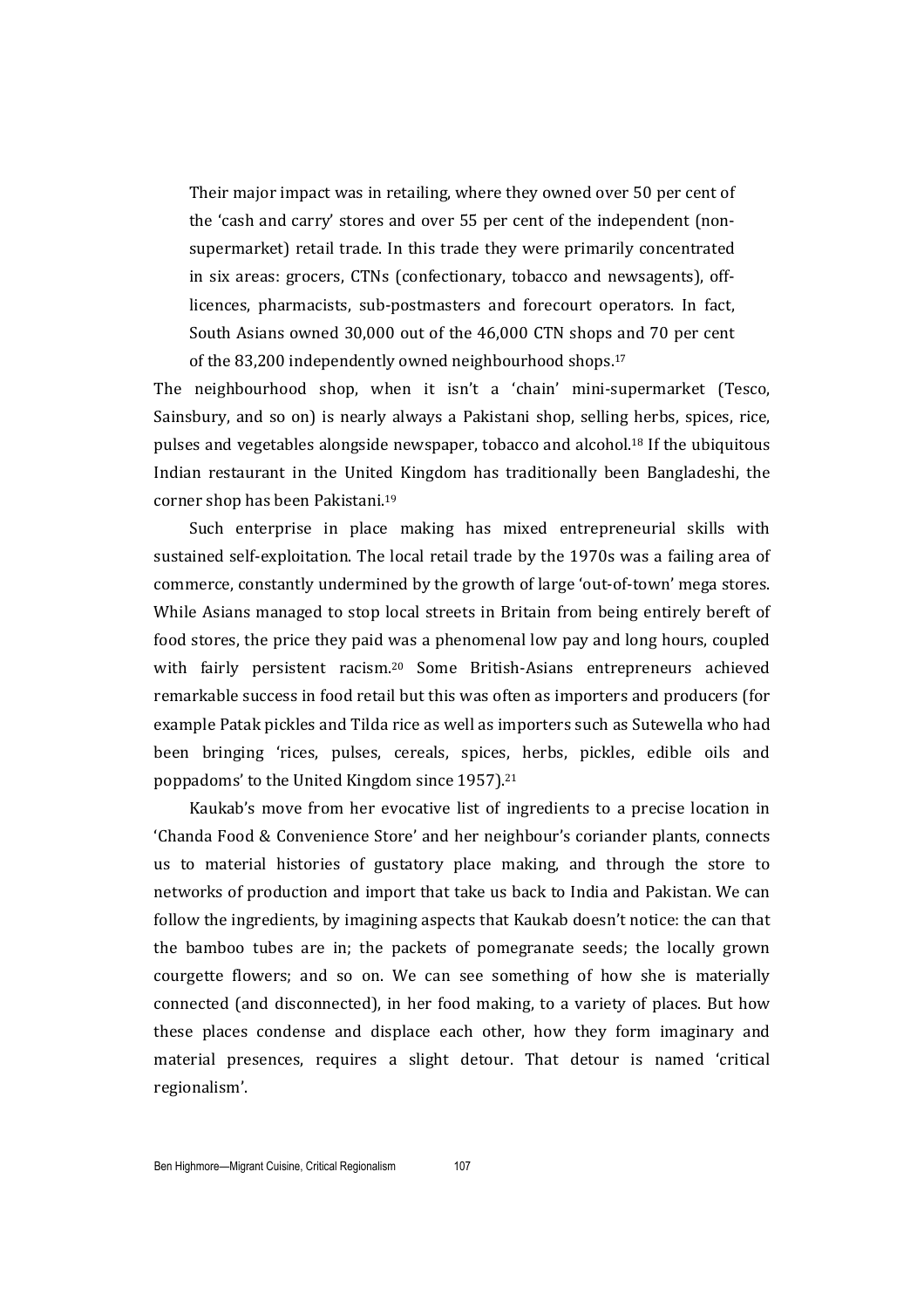Their major impact was in retailing, where they owned over 50 per cent of the 'cash and carry' stores and over 55 per cent of the independent (non‐ supermarket) retail trade. In this trade they were primarily concentrated in six areas: grocers, CTNs (confectionary, tobacco and newsagents), offlicences, pharmacists, sub‐postmasters and forecourt operators. In fact, South Asians owned 30,000 out of the 46,000 CTN shops and 70 per cent of the 83,200 independently owned neighbourhood shops. 17

The neighbourhood shop, when it isn't a 'chain' mini-supermarket (Tesco, Sainsbury, and so on) is nearly always a Pakistani shop, selling herbs, spices, rice, pulses and vegetables alongside newspaper, tobacco and alcohol. <sup>18</sup> If the ubiquitous Indian restaurant in the United Kingdom has traditionally been Bangladeshi, the corner shop has been Pakistani.<sup>19</sup>

Such enterprise in place making has mixed entrepreneurial skills with sustained self‐exploitation. The local retail trade by the 1970s was a failing area of commerce, constantly undermined by the growth of large 'out‐of‐town' mega stores. While Asians managed to stop local streets in Britain from being entirely bereft of food stores, the price they paid was a phenomenal low pay and long hours, coupled with fairly persistent racism.<sup>20</sup> Some British-Asians entrepreneurs achieved remarkable success in food retail but this was often as importers and producers (for example Patak pickles and Tilda rice as well as importers such as Sutewella who had been bringing 'rices, pulses, cereals, spices, herbs, pickles, edible oils and poppadoms' to the United Kingdom since 1957). 21

Kaukab's move from her evocative list of ingredients to a precise location in 'Chanda Food & Convenience Store' and her neighbour's coriander plants, connects us to material histories of gustatory place making, and through the store to networks of production and import that take us back to India and Pakistan. We can follow the ingredients, by imagining aspects that Kaukab doesn't notice: the can that the bamboo tubes are in; the packets of pomegranate seeds; the locally grown courgette flowers; and so on. We can see something of how she is materially connected (and disconnected), in her food making, to a variety of places. But how these places condense and displace each other, how they form imaginary and material presences, requires a slight detour. That detour is named 'critical regionalism'.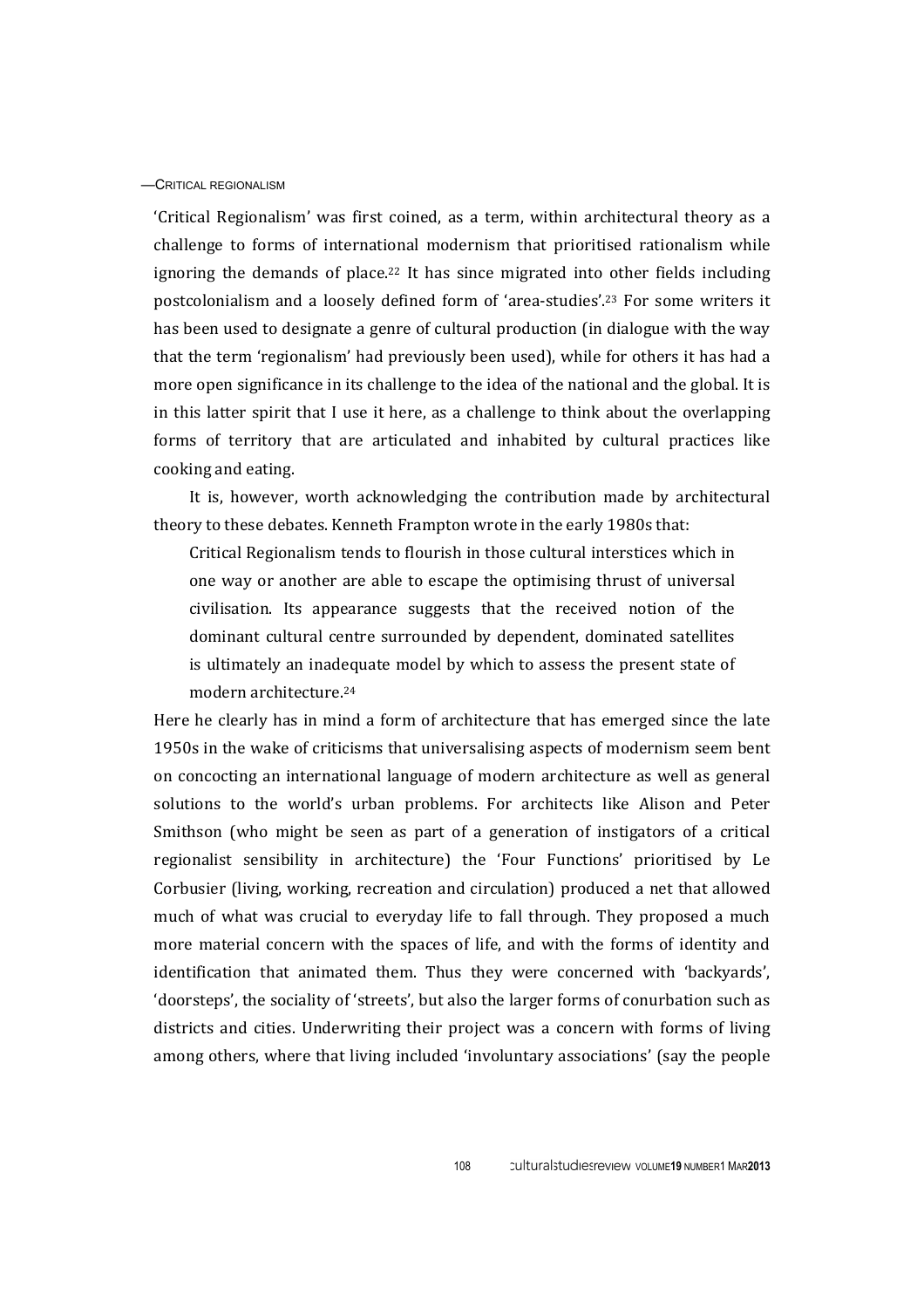#### —CRITICAL REGIONALISM

'Critical Regionalism' was first coined, as a term, within architectural theory as a challenge to forms of international modernism that prioritised rationalism while ignoring the demands of place.<sup>22</sup> It has since migrated into other fields including postcolonialism and a loosely defined form of 'area-studies'.<sup>23</sup> For some writers it has been used to designate a genre of cultural production (in dialogue with the way that the term 'regionalism' had previously been used), while for others it has had a more open significance in its challenge to the idea of the national and the global. It is in this latter spirit that I use it here, as a challenge to think about the overlapping forms of territory that are articulated and inhabited by cultural practices like cooking and eating.

It is, however, worth acknowledging the contribution made by architectural theory to these debates. Kenneth Frampton wrote in the early 1980s that:

Critical Regionalism tends to flourish in those cultural interstices which in one way or another are able to escape the optimising thrust of universal civilisation. Its appearance suggests that the received notion of the dominant cultural centre surrounded by dependent, dominated satellites is ultimately an inadequate model by which to assess the present state of modern architecture. 24

Here he clearly has in mind a form of architecture that has emerged since the late 1950s in the wake of criticisms that universalising aspects of modernism seem bent on concocting an international language of modern architecture as well as general solutions to the world's urban problems. For architects like Alison and Peter Smithson (who might be seen as part of a generation of instigators of a critical regionalist sensibility in architecture) the 'Four Functions' prioritised by Le Corbusier (living, working, recreation and circulation) produced a net that allowed much of what was crucial to everyday life to fall through. They proposed a much more material concern with the spaces of life, and with the forms of identity and identification that animated them. Thus they were concerned with 'backyards', 'doorsteps', the sociality of 'streets', but also the larger forms of conurbation such as districts and cities. Underwriting their project was a concern with forms of living among others, where that living included 'involuntary associations' (say the people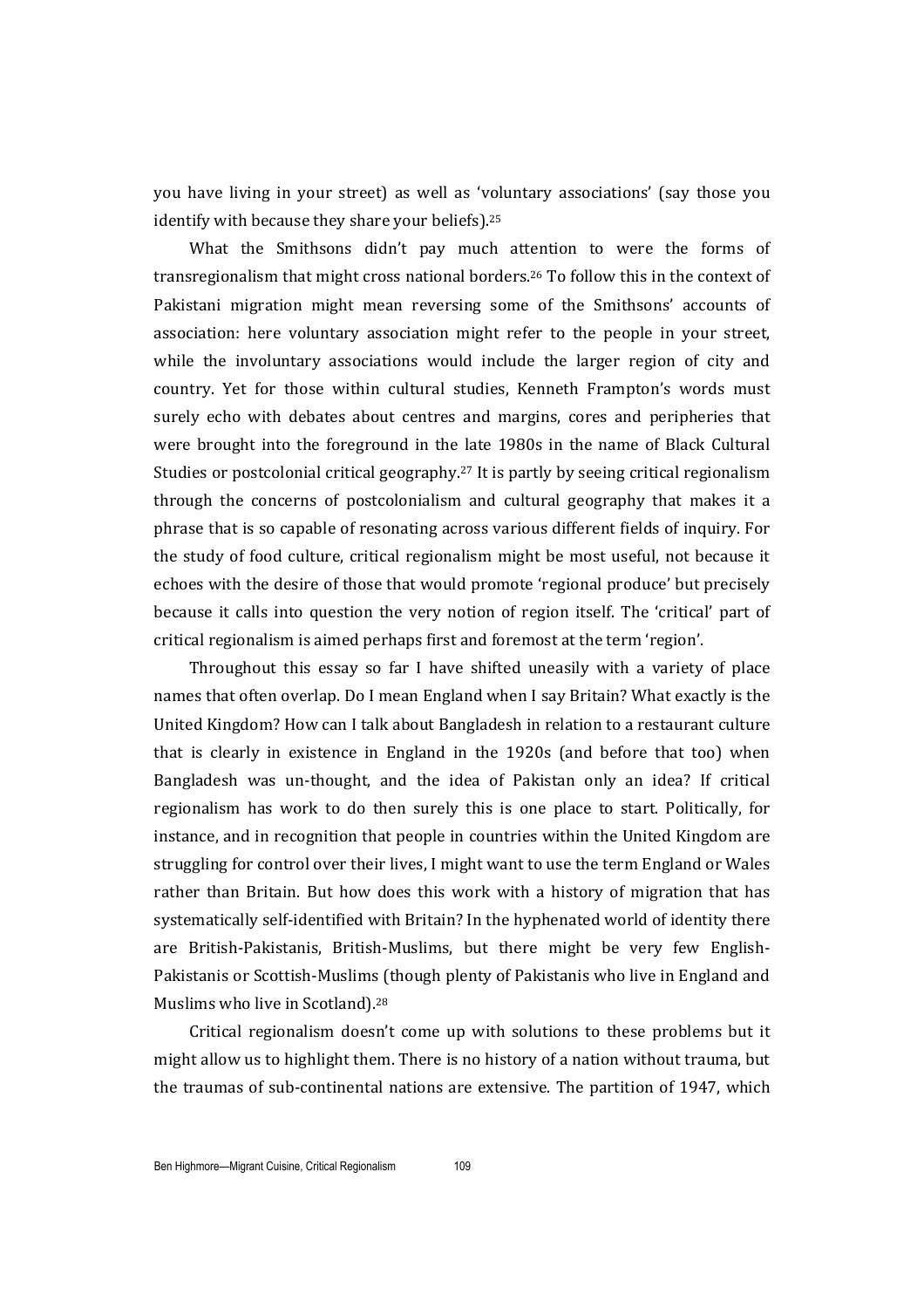you have living in your street) as well as 'voluntary associations' (say those you identify with because they share your beliefs). 25

What the Smithsons didn't pay much attention to were the forms of transregionalism that might cross national borders. <sup>26</sup> To follow this in the context of Pakistani migration might mean reversing some of the Smithsons' accounts of association: here voluntary association might refer to the people in your street, while the involuntary associations would include the larger region of city and country. Yet for those within cultural studies, Kenneth Frampton's words must surely echo with debates about centres and margins, cores and peripheries that were brought into the foreground in the late 1980s in the name of Black Cultural Studies or postcolonial critical geography.<sup>27</sup> It is partly by seeing critical regionalism through the concerns of postcolonialism and cultural geography that makes it a phrase that is so capable of resonating across various different fields of inquiry. For the study of food culture, critical regionalism might be most useful, not because it echoes with the desire of those that would promote 'regional produce' but precisely because it calls into question the very notion of region itself. The 'critical' part of critical regionalism is aimed perhaps first and foremost at the term 'region'.

Throughout this essay so far I have shifted uneasily with a variety of place names that often overlap. Do I mean England when I say Britain? What exactly is the United Kingdom? How can I talk about Bangladesh in relation to a restaurant culture that is clearly in existence in England in the 1920s (and before that too) when Bangladesh was un-thought, and the idea of Pakistan only an idea? If critical regionalism has work to do then surely this is one place to start. Politically, for instance, and in recognition that people in countries within the United Kingdom are struggling for control over their lives, I might want to use the term England or Wales rather than Britain. But how does this work with a history of migration that has systematically self-identified with Britain? In the hyphenated world of identity there are British‐Pakistanis, British‐Muslims, but there might be very few English‐ Pakistanis or Scottish‐Muslims (though plenty of Pakistanis who live in England and Muslims who live in Scotland). 28

Critical regionalism doesn't come up with solutions to these problems but it might allow us to highlight them. There is no history of a nation without trauma, but the traumas of sub-continental nations are extensive. The partition of 1947, which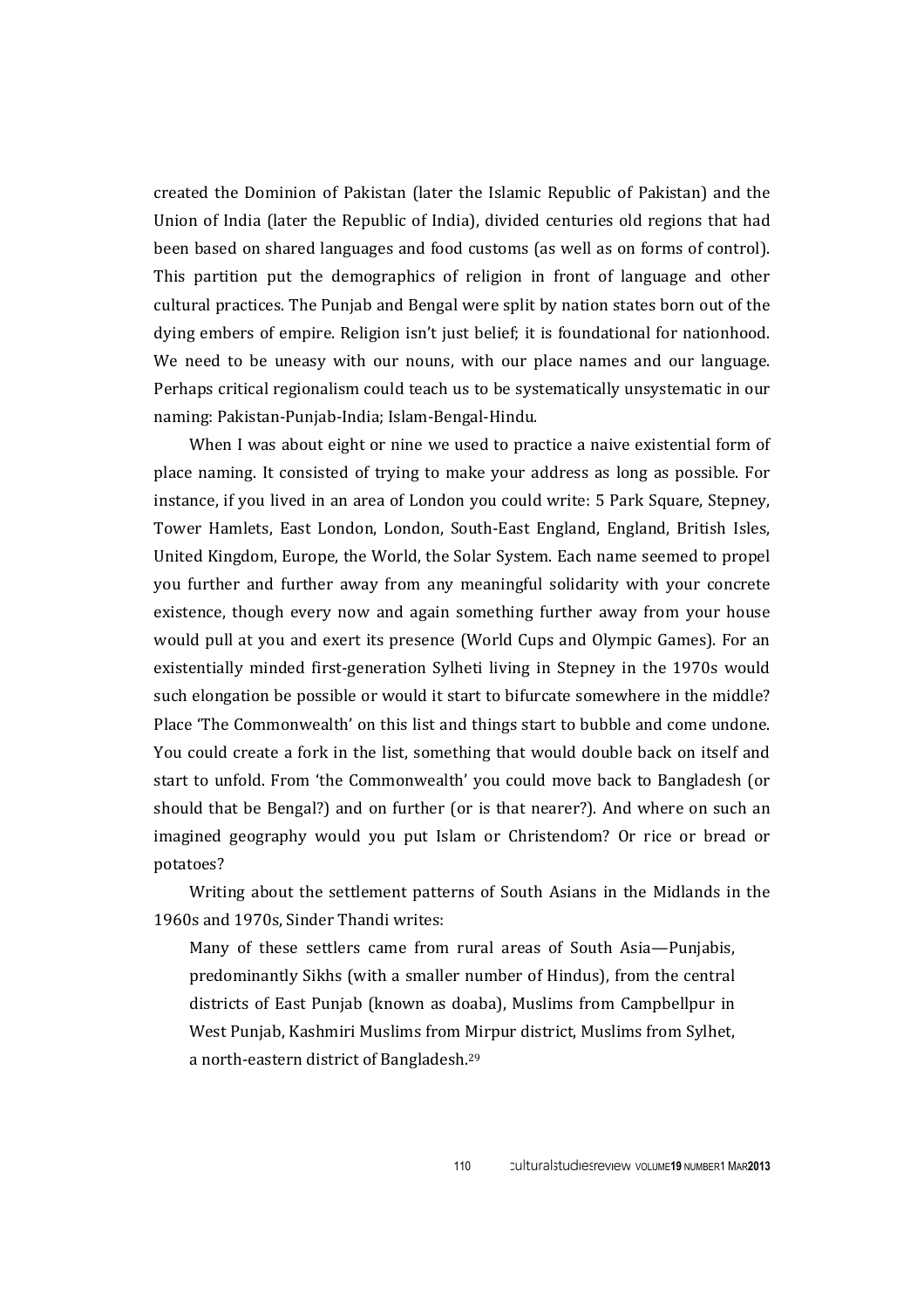created the Dominion of Pakistan (later the Islamic Republic of Pakistan) and the Union of India (later the Republic of India), divided centuries old regions that had been based on shared languages and food customs (as well as on forms of control). This partition put the demographics of religion in front of language and other cultural practices. The Punjab and Bengal were split by nation states born out of the dying embers of empire. Religion isn't just belief; it is foundational for nationhood. We need to be uneasy with our nouns, with our place names and our language. Perhaps critical regionalism could teach us to be systematically unsystematic in our naming: Pakistan‐Punjab‐India; Islam‐Bengal‐Hindu.

When I was about eight or nine we used to practice a naive existential form of place naming. It consisted of trying to make your address as long as possible. For instance, if you lived in an area of London you could write: 5 Park Square, Stepney, Tower Hamlets, East London, London, South‐East England, England, British Isles, United Kingdom, Europe, the World, the Solar System. Each name seemed to propel you further and further away from any meaningful solidarity with your concrete existence, though every now and again something further away from your house would pull at you and exert its presence (World Cups and Olympic Games). For an existentially minded first-generation Sylheti living in Stepney in the 1970s would such elongation be possible or would it start to bifurcate somewhere in the middle? Place 'The Commonwealth' on this list and things start to bubble and come undone. You could create a fork in the list, something that would double back on itself and start to unfold. From 'the Commonwealth' you could move back to Bangladesh (or should that be Bengal?) and on further (or is that nearer?). And where on such an imagined geography would you put Islam or Christendom? Or rice or bread or potatoes?

Writing about the settlement patterns of South Asians in the Midlands in the 1960s and 1970s, Sinder Thandi writes:

Many of these settlers came from rural areas of South Asia—Punjabis, predominantly Sikhs (with a smaller number of Hindus), from the central districts of East Punjab (known as doaba), Muslims from Campbellpur in West Punjab, Kashmiri Muslims from Mirpur district, Muslims from Sylhet, a north-eastern district of Bangladesh.<sup>29</sup>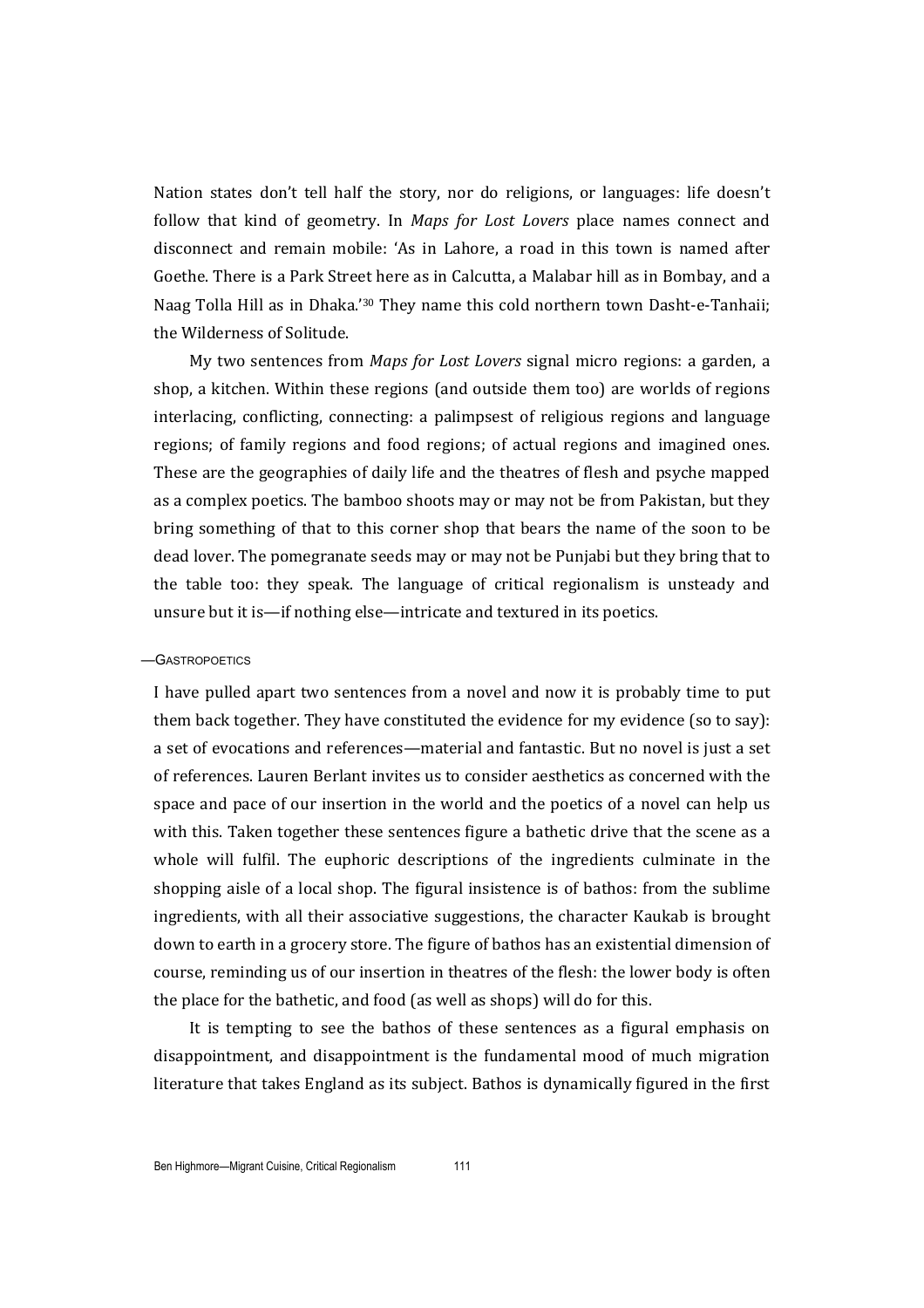Nation states don't tell half the story, nor do religions, or languages: life doesn't follow that kind of geometry. In *Maps for Lost Lovers* place names connect and disconnect and remain mobile: 'As in Lahore, a road in this town is named after Goethe. There is a Park Street here as in Calcutta, a Malabar hill as in Bombay, and a Naag Tolla Hill as in Dhaka.'<sup>30</sup> They name this cold northern town Dasht-e-Tanhaii; the Wilderness of Solitude.

My two sentences from *Maps for Lost Lovers* signal micro regions: a garden, a shop, a kitchen. Within these regions (and outside them too) are worlds of regions interlacing, conflicting, connecting: a palimpsest of religious regions and language regions; of family regions and food regions; of actual regions and imagined ones. These are the geographies of daily life and the theatres of flesh and psyche mapped as a complex poetics. The bamboo shoots may or may not be from Pakistan, but they bring something of that to this corner shop that bears the name of the soon to be dead lover. The pomegranate seeds may or may not be Punjabi but they bring that to the table too: they speak. The language of critical regionalism is unsteady and unsure but it is—if nothing else—intricate and textured in its poetics.

#### —GASTROPOETICS

I have pulled apart two sentences from a novel and now it is probably time to put them back together. They have constituted the evidence for my evidence (so to say): a set of evocations and references—material and fantastic. But no novel is just a set of references. Lauren Berlant invites us to consider aesthetics as concerned with the space and pace of our insertion in the world and the poetics of a novel can help us with this. Taken together these sentences figure a bathetic drive that the scene as a whole will fulfil. The euphoric descriptions of the ingredients culminate in the shopping aisle of a local shop. The figural insistence is of bathos: from the sublime ingredients, with all their associative suggestions, the character Kaukab is brought down to earth in a grocery store. The figure of bathos has an existential dimension of course, reminding us of our insertion in theatres of the flesh: the lower body is often the place for the bathetic, and food (as well as shops) will do for this.

It is tempting to see the bathos of these sentences as a figural emphasis on disappointment, and disappointment is the fundamental mood of much migration literature that takes England as its subject. Bathos is dynamically figured in the first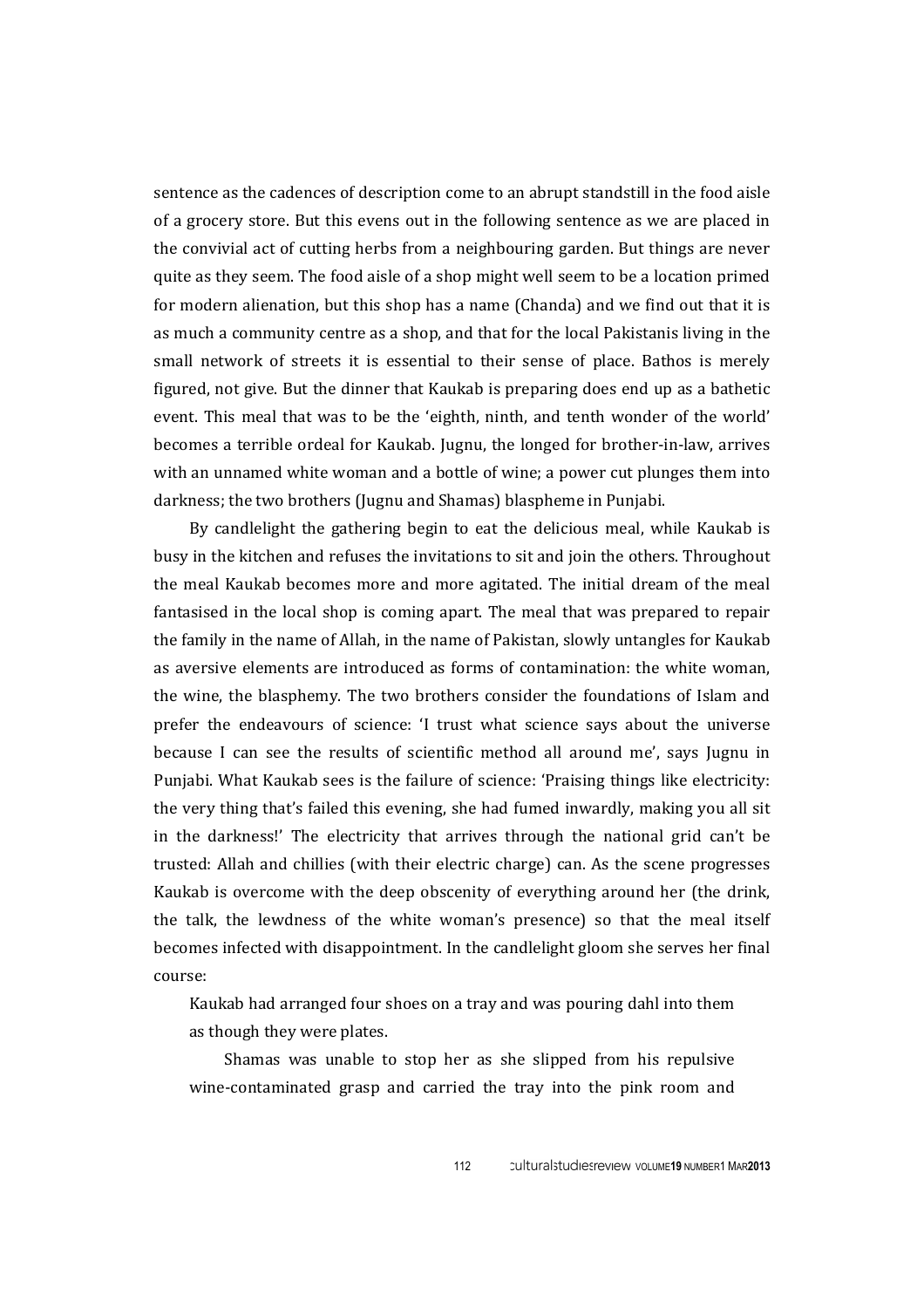sentence as the cadences of description come to an abrupt standstill in the food aisle of a grocery store. But this evens out in the following sentence as we are placed in the convivial act of cutting herbs from a neighbouring garden. But things are never quite as they seem. The food aisle of a shop might well seem to be a location primed for modern alienation, but this shop has a name (Chanda) and we find out that it is as much a community centre as a shop, and that for the local Pakistanis living in the small network of streets it is essential to their sense of place. Bathos is merely figured, not give. But the dinner that Kaukab is preparing does end up as a bathetic event. This meal that was to be the 'eighth, ninth, and tenth wonder of the world' becomes a terrible ordeal for Kaukab. Jugnu, the longed for brother-in-law, arrives with an unnamed white woman and a bottle of wine; a power cut plunges them into darkness; the two brothers (Jugnu and Shamas) blaspheme in Punjabi.

By candlelight the gathering begin to eat the delicious meal, while Kaukab is busy in the kitchen and refuses the invitations to sit and join the others. Throughout the meal Kaukab becomes more and more agitated. The initial dream of the meal fantasised in the local shop is coming apart. The meal that was prepared to repair the family in the name of Allah, in the name of Pakistan, slowly untangles for Kaukab as aversive elements are introduced as forms of contamination: the white woman, the wine, the blasphemy. The two brothers consider the foundations of Islam and prefer the endeavours of science: 'I trust what science says about the universe because I can see the results of scientific method all around me', says Jugnu in Punjabi. What Kaukab sees is the failure of science: 'Praising things like electricity: the very thing that's failed this evening, she had fumed inwardly, making you all sit in the darkness!' The electricity that arrives through the national grid can't be trusted: Allah and chillies (with their electric charge) can. As the scene progresses Kaukab is overcome with the deep obscenity of everything around her (the drink, the talk, the lewdness of the white woman's presence) so that the meal itself becomes infected with disappointment. In the candlelight gloom she serves her final course:

Kaukab had arranged four shoes on a tray and was pouring dahl into them as though they were plates.

Shamas was unable to stop her as she slipped from his repulsive wine-contaminated grasp and carried the tray into the pink room and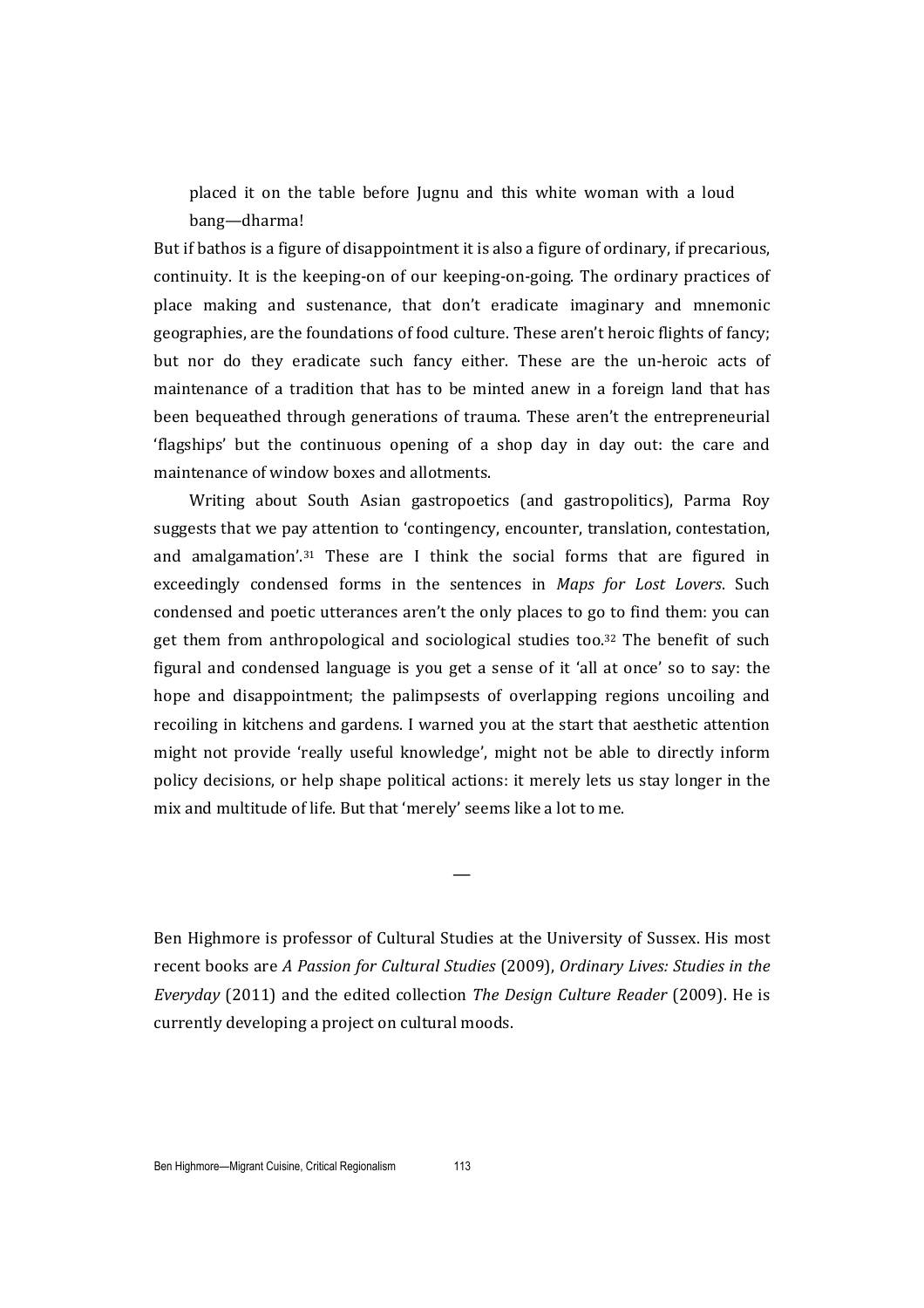placed it on the table before Jugnu and this white woman with a loud bang—dharma!

But if bathos is a figure of disappointment it is also a figure of ordinary, if precarious, continuity. It is the keeping‐on of our keeping‐on‐going. The ordinary practices of place making and sustenance, that don't eradicate imaginary and mnemonic geographies, are the foundations of food culture. These aren't heroic flights of fancy; but nor do they eradicate such fancy either. These are the un-heroic acts of maintenance of a tradition that has to be minted anew in a foreign land that has been bequeathed through generations of trauma. These aren't the entrepreneurial 'flagships' but the continuous opening of a shop day in day out: the care and maintenance of window boxes and allotments.

Writing about South Asian gastropoetics (and gastropolitics), Parma Roy suggests that we pay attention to 'contingency, encounter, translation, contestation, and amalgamation'.<sup>31</sup> These are I think the social forms that are figured in exceedingly condensed forms in the sentences in *Maps for Lost Lovers*. Such condensed and poetic utterances aren't the only places to go to find them: you can get them from anthropological and sociological studies too. <sup>32</sup> The benefit of such figural and condensed language is you get a sense of it 'all at once' so to say: the hope and disappointment; the palimpsests of overlapping regions uncoiling and recoiling in kitchens and gardens. I warned you at the start that aesthetic attention might not provide 'really useful knowledge', might not be able to directly inform policy decisions, or help shape political actions: it merely lets us stay longer in the mix and multitude of life. But that 'merely' seems like a lot to me.

Ben Highmore is professor of Cultural Studies at the University of Sussex. His most recent books are *A Passion for Cultural Studies* (2009), *Ordinary Lives: Studies in the Everyday* (2011) and the edited collection *The Design Culture Reader* (2009). He is currently developing a project on cultural moods.

—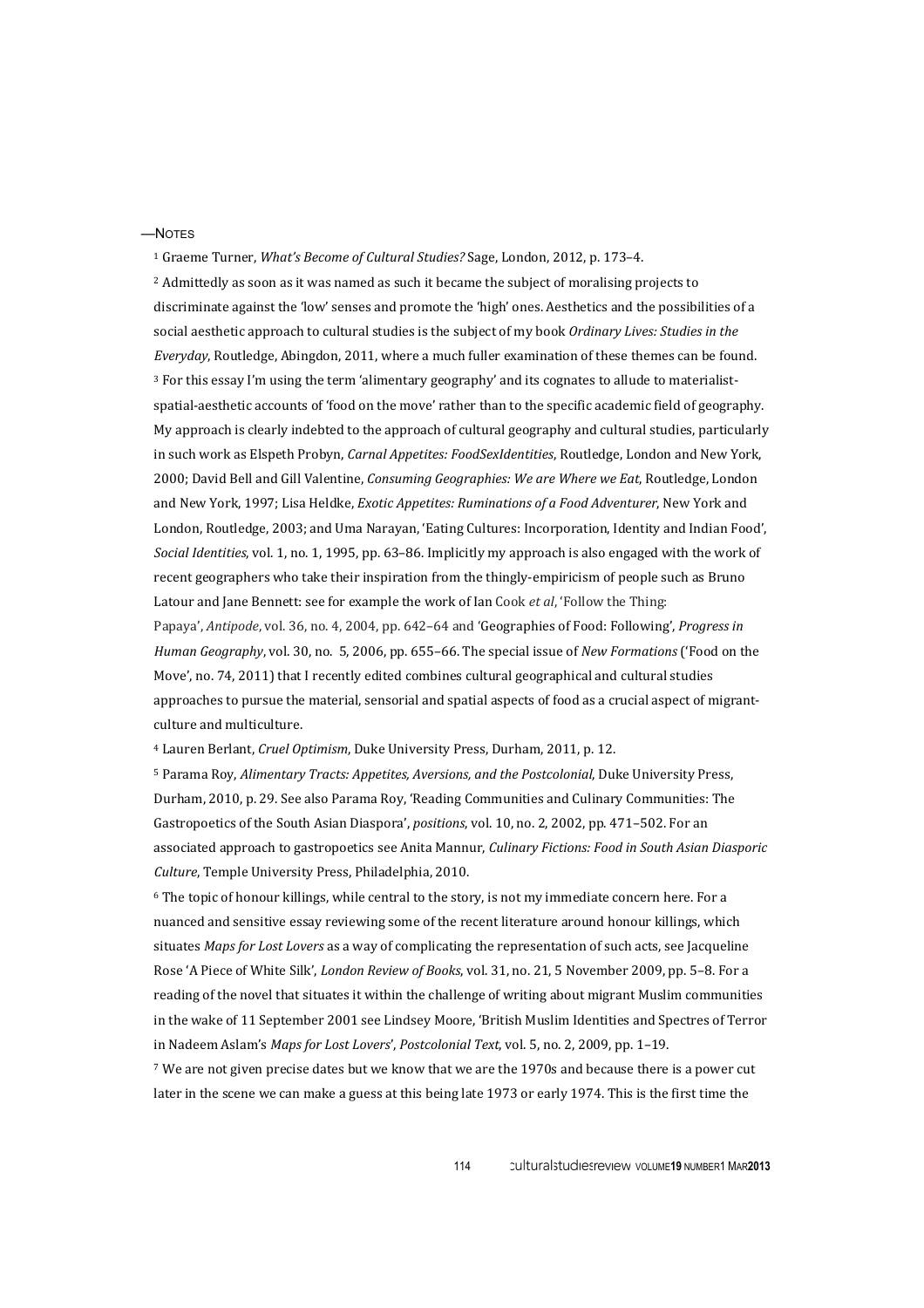#### —NOTES

<sup>1</sup> Graeme Turner, *What's Become of Cultural Studies?* Sage, London, 2012, p. 173–4. <sup>2</sup> Admittedly as soon as it was named as such it became the subject of moralising projects to discriminate against the 'low' senses and promote the 'high' ones. Aesthetics and the possibilities of a social aesthetic approach to cultural studies is the subject of my book *Ordinary Lives: Studies in the Everyday*, Routledge, Abingdon, 2011, where a much fuller examination of these themes can be found. <sup>3</sup> For this essay I'm using the term 'alimentary geography' and its cognates to allude to materialistspatial-aesthetic accounts of 'food on the move' rather than to the specific academic field of geography. My approach is clearly indebted to the approach of cultural geography and cultural studies, particularly in such work as Elspeth Probyn, *Carnal Appetites: FoodSexIdentities*, Routledge, London and New York, 2000; David Bell and Gill Valentine, *Consuming Geographies: We are Where we Eat*, Routledge, London and New York, 1997; Lisa Heldke, *Exotic Appetites: Ruminations of a Food Adventurer*, New York and London, Routledge, 2003; and Uma Narayan, 'Eating Cultures: Incorporation, Identity and Indian Food', *Social Identities*, vol. 1, no. 1, 1995, pp. 63–86. Implicitly my approach is also engaged with the work of recent geographers who take their inspiration from the thingly-empiricism of people such as Bruno Latour and Jane Bennett: see for example the work of Ian Cook *et al*, 'Follow the Thing: Papaya', *Antipode*, vol. 36, no. 4, 2004, pp. 642–64 and 'Geographies of Food: Following', *Progress in Human Geography*, vol. 30, no. 5, 2006, pp. 655–66. The special issue of *New Formations* ('Food on the Move', no. 74, 2011) that I recently edited combines cultural geographical and cultural studies approaches to pursue the material, sensorial and spatial aspects of food as a crucial aspect of migrant‐ culture and multiculture.

<sup>4</sup> Lauren Berlant, *Cruel Optimism*, Duke University Press, Durham, 2011, p. 12.

<sup>5</sup> Parama Roy, *Alimentary Tracts: Appetites, Aversions, and the Postcolonial*, Duke University Press, Durham, 2010, p. 29. See also Parama Roy, 'Reading Communities and Culinary Communities: The Gastropoetics of the South Asian Diaspora', *positions*, vol. 10, no. 2, 2002, pp. 471–502. For an associated approach to gastropoetics see Anita Mannur, *Culinary Fictions: Food in South Asian Diasporic Culture*, Temple University Press, Philadelphia, 2010.

<sup>6</sup> The topic of honour killings, while central to the story, is not my immediate concern here. For a nuanced and sensitive essay reviewing some of the recent literature around honour killings, which situates *Maps for Lost Lovers* as a way of complicating the representation of such acts, see Jacqueline Rose 'A Piece of White Silk', *London Review of Books*, vol. 31, no. 21, 5 November 2009, pp. 5–8. For a reading of the novel that situates it within the challenge of writing about migrant Muslim communities in the wake of 11 September 2001 see Lindsey Moore, 'British Muslim Identities and Spectres of Terror in Nadeem Aslam's *Maps for Lost Lovers*', *Postcolonial Text*, vol. 5, no. 2, 2009, pp. 1–19.

<sup>7</sup> We are not given precise dates but we know that we are the 1970s and because there is a power cut later in the scene we can make a guess at this being late 1973 or early 1974. This is the first time the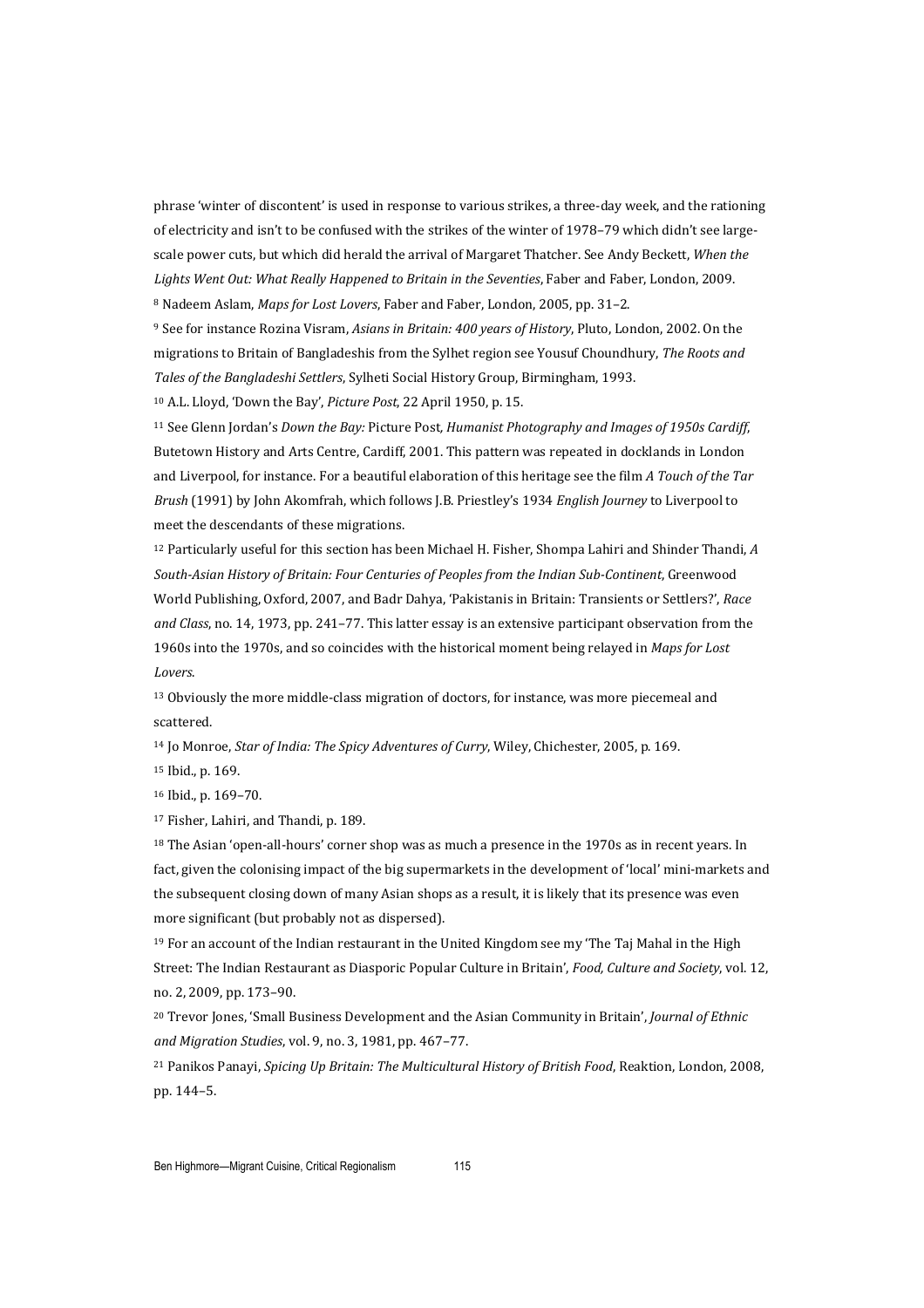phrase 'winter of discontent' is used in response to various strikes, a three‐day week, and the rationing of electricity and isn't to be confused with the strikes of the winter of 1978–79 which didn't see large‐ scale power cuts, but which did herald the arrival of Margaret Thatcher. See Andy Beckett, *When the Lights Went Out: What Really Happened to Britain in the Seventies*, Faber and Faber, London, 2009. <sup>8</sup> Nadeem Aslam, *Maps for Lost Lovers*, Faber and Faber, London, 2005, pp. 31–2.

<sup>9</sup> See for instance Rozina Visram, *Asians in Britain: 400 years of History*, Pluto, London, 2002. On the migrations to Britain of Bangladeshis from the Sylhet region see Yousuf Choundhury, *The Roots and Tales of the Bangladeshi Settlers*, Sylheti Social History Group, Birmingham, 1993. <sup>10</sup> A.L. Lloyd, 'Down the Bay', *Picture Post*, 22 April 1950, p. 15.

<sup>11</sup> See Glenn Jordan's *Down the Bay:* Picture Post*, Humanist Photography and Images of 1950s Cardiff*, Butetown History and Arts Centre, Cardiff, 2001. This pattern was repeated in docklands in London and Liverpool, for instance. For a beautiful elaboration of this heritage see the film *A Touch of the Tar Brush* (1991) by John Akomfrah, which follows J.B. Priestley's 1934 *English Journey* to Liverpool to

<sup>12</sup> Particularly useful for this section has been Michael H. Fisher, Shompa Lahiri and Shinder Thandi, *A*  South-Asian History of Britain: Four Centuries of Peoples from the Indian Sub-Continent, Greenwood World Publishing, Oxford, 2007, and Badr Dahya, 'Pakistanis in Britain: Transients or Settlers?', *Race and Class*, no. 14, 1973, pp. 241–77. This latter essay is an extensive participant observation from the 1960s into the 1970s, and so coincides with the historical moment being relayed in *Maps for Lost Lovers*.

13 Obviously the more middle-class migration of doctors, for instance, was more piecemeal and scattered.

<sup>14</sup> Jo Monroe, *Star of India: The Spicy Adventures of Curry*, Wiley, Chichester, 2005, p. 169.

<sup>15</sup> Ibid., p. 169.

<sup>16</sup> Ibid., p. 169–70.

<sup>17</sup> Fisher, Lahiri, and Thandi, p. 189.

meet the descendants of these migrations.

<sup>18</sup> The Asian 'open-all-hours' corner shop was as much a presence in the 1970s as in recent years. In fact, given the colonising impact of the big supermarkets in the development of 'local' mini-markets and the subsequent closing down of many Asian shops as a result, it is likely that its presence was even more significant (but probably not as dispersed).

 $19$  For an account of the Indian restaurant in the United Kingdom see my 'The Taj Mahal in the High Street: The Indian Restaurant as Diasporic Popular Culture in Britain', *Food, Culture and Society*, vol. 12, no. 2, 2009, pp. 173–90.

<sup>20</sup> Trevor Jones, 'Small Business Development and the Asian Community in Britain', *Journal of Ethnic and Migration Studies*, vol. 9, no. 3, 1981, pp. 467–77.

<sup>21</sup> Panikos Panayi, *Spicing Up Britain: The Multicultural History of British Food*, Reaktion, London, 2008, pp. 144–5.